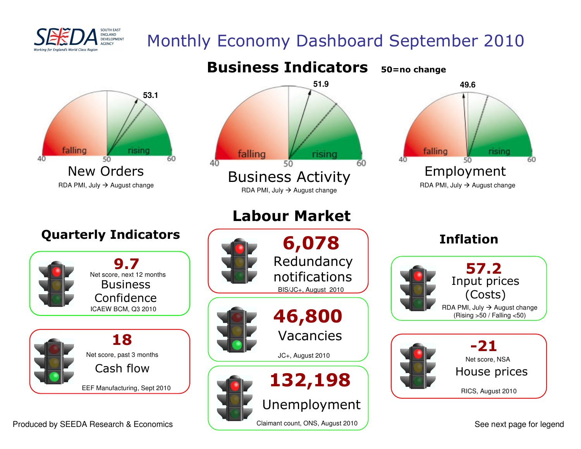

## Monthly Economy Dashboard September 2010



Produced by SEEDA Research & Economics

See next page for legend